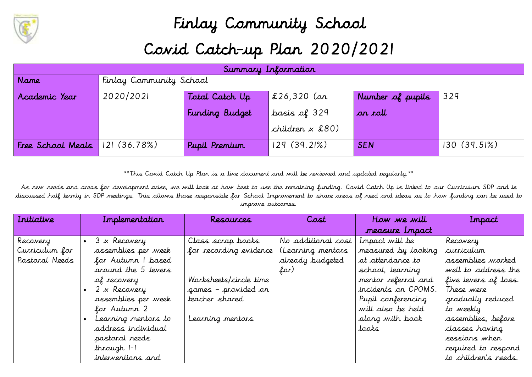

## Finlay Community School Covid Catch-up Plan 2020/2021

|                   | Summary Information     |                       |                   |                  |               |  |
|-------------------|-------------------------|-----------------------|-------------------|------------------|---------------|--|
| Name              | Finlay Community School |                       |                   |                  |               |  |
| Academic Year     | 2020/2021               | Total Catch Up        | $\,$ £26,320 (on  | Number of pupils | 329           |  |
|                   |                         | <b>Funding Budget</b> | basis of 329      | ar roll          |               |  |
|                   |                         |                       | children $x$ £80) |                  |               |  |
| Free School Meals | 121(36.78%)             | Pupil Premium         | 129(39.21%)       | <b>SEN</b>       | $130(39.5\%)$ |  |

\*\*This Covid Catch Up Plan is a live document and will be reviewed and updated regularly.\*\*

As new needs and areas for development arise, we will look at how best to use the remaining funding. Covid Catch Up is linked to our Curriculum SDP and is discussed half termly in SDP meetings. This allows those responsible for School Improvement to share areas of need and ideas as to how funding can be used to improve outcomes.

| Initiative     | Implementation      | Resources              | Cost               | How we will         | Inpact               |
|----------------|---------------------|------------------------|--------------------|---------------------|----------------------|
|                |                     |                        |                    | measure Impact      |                      |
| Recovery       | 3 x Recovery        | Class scrap books      | No additional cost | Impact will be      | Recovery             |
| Curriculum for | assemblies per week | for recording evidence | (Learning mentors  | measured by looking | curriculum           |
| Pastoral Needs | for Autumn I based  |                        | already budgeted   | at attendance to    | assemblies worked    |
|                | around the 5 levers |                        | for)               | school, learning    | well to address the  |
|                | of recovery         | Worksheets/circle time |                    | mentor referral and | five levers of loss. |
|                | 2 x Recovery        | games - provided on    |                    | incidents on CPOMS. | These were           |
|                | assemblies per week | teacher shared         |                    | Pupil conferencing  | gradually reduced    |
|                | for Autumn 2        |                        |                    | will also be held   | to weekly            |
|                | Learning mentors to | Learning mentors       |                    | along with book     | assemblies, before   |
|                | address individual  |                        |                    | tooks               | classes having       |
|                | pastoral needs      |                        |                    |                     | sessions when        |
|                | through 1-1         |                        |                    |                     | required to respond  |
|                | interventions and   |                        |                    |                     | to children's needs. |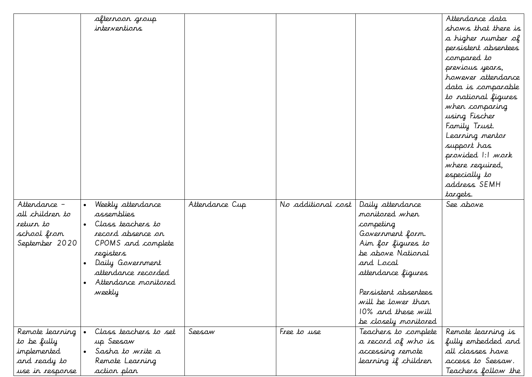|                 | afternoon group       |                |                    |                      | Attendance data      |
|-----------------|-----------------------|----------------|--------------------|----------------------|----------------------|
|                 | interventions         |                |                    |                      | shows that there is  |
|                 |                       |                |                    |                      | a higher number of   |
|                 |                       |                |                    |                      | persistent absentees |
|                 |                       |                |                    |                      | compared to          |
|                 |                       |                |                    |                      | previous years,      |
|                 |                       |                |                    |                      | however attendance   |
|                 |                       |                |                    |                      | data is comparable   |
|                 |                       |                |                    |                      | to national figures  |
|                 |                       |                |                    |                      | when comparing       |
|                 |                       |                |                    |                      | using Fischer        |
|                 |                       |                |                    |                      | Family Trust.        |
|                 |                       |                |                    |                      | Learning mentor      |
|                 |                       |                |                    |                      | support has          |
|                 |                       |                |                    |                      | provided 1:1 work    |
|                 |                       |                |                    |                      | where required,      |
|                 |                       |                |                    |                      | especially to        |
|                 |                       |                |                    |                      | address SEMH         |
|                 |                       |                |                    |                      | targets.             |
| Attendance -    | Weekly attendance     | Attendance Cup | No additional cost | Daily attendance     | See above            |
| all children to | assemblies            |                |                    | monitored when       |                      |
| return to       | Class teachers to     |                |                    | competing            |                      |
| school from     | record absence on     |                |                    | Government form.     |                      |
| September 2020  | CPOMS and complete    |                |                    | Aim for figures to   |                      |
|                 | registers             |                |                    | be above National    |                      |
|                 | Daily Government      |                |                    | and Local            |                      |
|                 | attendance recorded   |                |                    | attendance figures   |                      |
|                 | Attendance monitored  |                |                    |                      |                      |
|                 | weekly                |                |                    | Persistent absentees |                      |
|                 |                       |                |                    | will be lower than   |                      |
|                 |                       |                |                    | 10% and these will   |                      |
|                 |                       |                |                    | be closely monitored |                      |
| Remote learning | Class teachers to set | Seesaw         | Free to use        | Teachers to complete | Remote learning is   |
| to be fully     | up Seesaw             |                |                    | a record of who is   | fully embedded and   |
| implemented     | Sasha to write a      |                |                    | accessing remote     | all classes have     |
| and ready to    | Remote Learning       |                |                    | learning if children | access to Seesaw.    |
| use in response | action plan           |                |                    |                      | Teachers follow the  |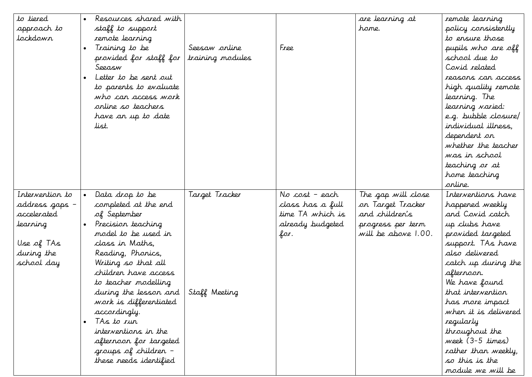| to tiered       | Resources shared with  |                  |                  | are learning at     | remote learning      |
|-----------------|------------------------|------------------|------------------|---------------------|----------------------|
| approach to     | staff to support       |                  |                  | hame.               | policy consistently  |
| tockdown        | remote learning        |                  |                  |                     | to ensure those      |
|                 | Training to be         | Seesaw online    | Free             |                     | pupils who are off   |
|                 | provided for staff for | training modules |                  |                     | school due to        |
|                 | Seeasw                 |                  |                  |                     | Covid related        |
|                 | Letter to be sent out  |                  |                  |                     | reasons can access   |
|                 | to parents to evaluate |                  |                  |                     | high quality remote  |
|                 | who can access work    |                  |                  |                     | learning. The        |
|                 | orline so teachers     |                  |                  |                     | learning varied:     |
|                 | have an up to date     |                  |                  |                     | e.g. bubble closure/ |
|                 | list.                  |                  |                  |                     | individual illness,  |
|                 |                        |                  |                  |                     | dependent on         |
|                 |                        |                  |                  |                     | whether the teacher  |
|                 |                        |                  |                  |                     | was in school        |
|                 |                        |                  |                  |                     | teaching or at       |
|                 |                        |                  |                  |                     | home teaching        |
|                 |                        |                  |                  |                     | arline.              |
| Intervention to | Data drop to be        | Target Tracker   | No cost – each   | The gap will close  | Interventions have   |
| address gaps –  | completed at the end   |                  | class has a full | on Target Tracker   | happened weekly      |
| accelerated     | of September           |                  | time TA which is | and children's      | and Covid catch      |
| learning        | Precision teaching     |                  | already budgeted | progress per term   | up clubs have        |
|                 | model to be used in    |                  | for.             | will be above 1.00. | provided targeted    |
| Use of TAs      | class in Maths,        |                  |                  |                     | support. TAs have    |
| during the      | Reading, Phonics,      |                  |                  |                     | also delivered       |
| school day      | Writing so that all    |                  |                  |                     | catch up during the  |
|                 | children have access   |                  |                  |                     | afternoon.           |
|                 | to teacher modelling   |                  |                  |                     | We have found        |
|                 | during the lesson and  | Staff Meeting    |                  |                     | that intervention    |
|                 | work is differentiated |                  |                  |                     | has more impact      |
|                 | accordingly.           |                  |                  |                     | when it is delivered |
|                 | TAs to run             |                  |                  |                     | regularly            |
|                 | interventions in the   |                  |                  |                     | throughout the       |
|                 | afternoon for targeted |                  |                  |                     | week (3-5 times)     |
|                 | groups of children –   |                  |                  |                     | rather than weekly,  |
|                 | these needs identified |                  |                  |                     | so this is the       |
|                 |                        |                  |                  |                     | module we will be    |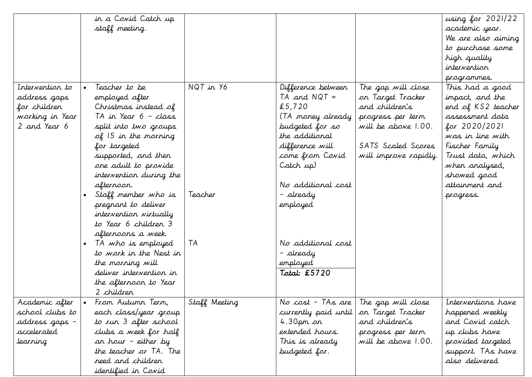|                 |           | in a Covid Catch up     |               |                      |                       | using for 2021/22  |
|-----------------|-----------|-------------------------|---------------|----------------------|-----------------------|--------------------|
|                 |           | staff meeting.          |               |                      |                       | academic year.     |
|                 |           |                         |               |                      |                       | We are also aiming |
|                 |           |                         |               |                      |                       | to purchase some   |
|                 |           |                         |               |                      |                       | high quality       |
|                 |           |                         |               |                      |                       | intervention       |
|                 |           |                         |               |                      |                       | programmes.        |
| Intervention to |           | Teacher to be           | NQT in Y6     | Difference between   | The gap will close    | This had a good    |
| address gaps    |           | employed after          |               | $TA$ and $NQT =$     | on Target Tracker     | impact, and the    |
| for children    |           | Christmas instead of    |               | £5,720               | and children's        | end of KS2 teacher |
| working in Year |           | TA in Year 6 - class    |               | (TA money already)   | progress per term     | assessment data    |
| 2 and Year 6    |           | split into two groups   |               | budgeted for so      | will be above 1.00.   | for 2020/2021      |
|                 |           | $of$ 15 in the morning  |               | the additional       |                       | was in line with   |
|                 |           | for targeted            |               | difference will      | SATS Scaled Scores    | Fischer Family     |
|                 |           | supported, and then     |               | come from Covid      | will improve rapidly. | Trust data, which  |
|                 |           | one adult to provide    |               | Catch up)            |                       | when analysed,     |
|                 |           | intervention during the |               |                      |                       | showed good        |
|                 |           | afternoon.              |               | No additional cost   |                       | attainment and     |
|                 | $\bullet$ | Staff member who is     | Teacher       | – already            |                       | progress.          |
|                 |           | pregnant to deliver     |               | employed             |                       |                    |
|                 |           | intervention virtually  |               |                      |                       |                    |
|                 |           | to Year 6 children 3    |               |                      |                       |                    |
|                 |           | afternoons a week.      |               |                      |                       |                    |
|                 | $\bullet$ | TA who is employed      | TA            | No additional cost   |                       |                    |
|                 |           | to work in the Nest in  |               | – already            |                       |                    |
|                 |           | the morning will        |               | employed             |                       |                    |
|                 |           | deliver intervention in |               | Total: £5720         |                       |                    |
|                 |           | the afternoon to Year   |               |                      |                       |                    |
|                 |           | 2 children              |               |                      |                       |                    |
| Academic after  |           | From Autunn Term,       | Staff Meeting | No cost - TAs are    | The gap will close    | Interventions have |
| school clubs to |           | each class/year group   |               | currently paid until | on Target Tracker     | happened weekly    |
| address gaps –  |           | to run 3 after school   |               | 4.30 $\mu$ m on      | and children's        | and Covid catch    |
| accelerated     |           | clubs a week for half   |               | extended hours.      | progress per term     | up clubs have      |
| learning        |           | an hour – either by     |               | This is already      | will be above 1.00.   | provided targeted  |
|                 |           | the teacher or TA. The  |               | budgeted for.        |                       | support. TAs have  |
|                 |           | need and children       |               |                      |                       | also delivered     |
|                 |           | identified in Covid     |               |                      |                       |                    |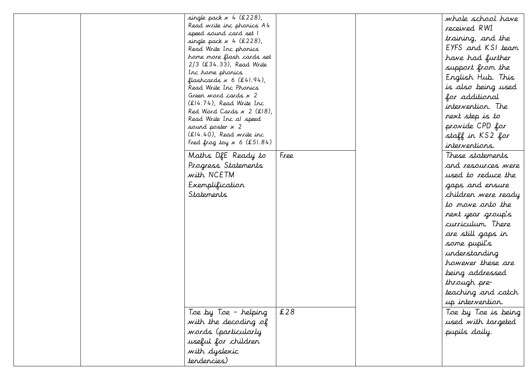|  | single pack $x$ 4 (£228),                              |      | whole school have   |
|--|--------------------------------------------------------|------|---------------------|
|  | Read write inc phonics A4                              |      | received RWI        |
|  | speed sound card set I                                 |      | training, and the   |
|  | single pack $x$ 4 (£228),<br>Read Write Inc phonics    |      | EYFS and KSI team   |
|  | home more flash cards set                              |      |                     |
|  | $2/3$ (£34.33), Read Write                             |      | have had further    |
|  | Inc home phonics                                       |      | support from the    |
|  | flashcards $x 6$ (£41.94),                             |      | English Hub. This   |
|  | Read Write Inc Phonics                                 |      | is also being used  |
|  | Green word cards x 2                                   |      | for additional      |
|  | (£14.74), Read Write Inc                               |      | intervention. The   |
|  | Red Ward Cards $x$ 2 (£18),<br>Read Write Inc al speed |      | next step is to     |
|  | sound poster x 2                                       |      | provide CPD for     |
|  | $(E14.40)$ , Read write inc                            |      | staff in KS2 for    |
|  | Fred frog toy $x 6$ (£51.84)                           |      | interventions.      |
|  | Maths DfE Ready to                                     | Free | These statements    |
|  | Progress Statements                                    |      | and resources were  |
|  | with NCETM                                             |      | used to reduce the  |
|  |                                                        |      |                     |
|  | Exemplification                                        |      | gaps and ensure     |
|  | <i><u><b>Statements</b></u></i>                        |      | children were ready |
|  |                                                        |      | to nove onto the    |
|  |                                                        |      | next year group's   |
|  |                                                        |      | curriculum. There   |
|  |                                                        |      | are still gaps in   |
|  |                                                        |      | some pupil's        |
|  |                                                        |      | understanding       |
|  |                                                        |      | however these are   |
|  |                                                        |      | being addressed     |
|  |                                                        |      | through pre-        |
|  |                                                        |      | teaching and catch  |
|  |                                                        |      | up intervention.    |
|  | Toe by Toe - helping                                   | £28  | Toe by Toe is being |
|  | with the decoding of                                   |      | used with targeted  |
|  | words (particularly                                    |      | pupils daily.       |
|  | useful for children                                    |      |                     |
|  | with dyslexic                                          |      |                     |
|  | tendencies)                                            |      |                     |
|  |                                                        |      |                     |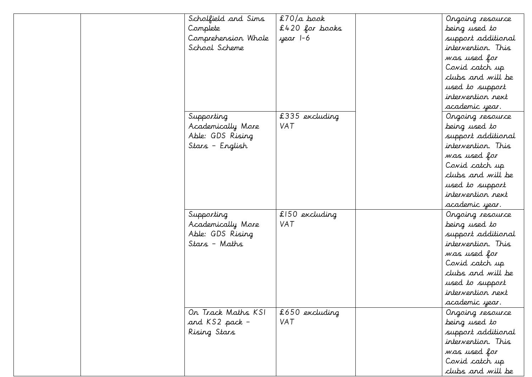| Scholfield and Sims | $$70/a$ book     | Ongoing resource   |
|---------------------|------------------|--------------------|
| Complete            | $£420$ for books | being used to      |
| Comprehension Whole | year 1-6         | support additional |
| School Scheme       |                  | intervention. This |
|                     |                  | was used for       |
|                     |                  | Covid catch up     |
|                     |                  | clubs and will be  |
|                     |                  | used to support    |
|                     |                  | intervention next  |
|                     |                  | academic year.     |
| Supporting          | £335 excluding   | Ongoing resource   |
| Academically More   | VAT              | being used to      |
| Able: GDS Rising    |                  | support additional |
| Stars - English     |                  | intervention. This |
|                     |                  | was used for       |
|                     |                  | Covid catch up     |
|                     |                  | clubs and will be  |
|                     |                  | used to support    |
|                     |                  | intervention next  |
|                     |                  | academic year.     |
| Supporting          | £150 excluding   | Ongoing resource   |
| Academically More   | <b>VAT</b>       | being used to      |
| Able: GDS Rising    |                  | support additional |
| Stars - Maths       |                  | intervention. This |
|                     |                  | was used for       |
|                     |                  | Covid catch up     |
|                     |                  | clubs and will be  |
|                     |                  | used to support    |
|                     |                  | intervention next  |
|                     |                  | academic year.     |
| On Track Maths KSI  | £650 excluding   | Ongoing resource   |
| and KS2 pack -      | VAT              | being used to      |
| Rising Stars        |                  | support additional |
|                     |                  | intervention. This |
|                     |                  | was used for       |
|                     |                  | Covid catch up     |
|                     |                  | clubs and will be  |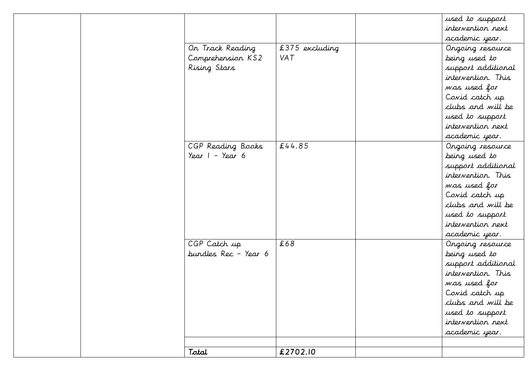|                              |                | used to support    |
|------------------------------|----------------|--------------------|
|                              |                | intervention next  |
|                              |                | academic year.     |
| Or Track Reading             | £375 excluding | Ongoing resource   |
| Comprehension KS2            | VAT            | being used to      |
| Rising Stars                 |                | support additional |
|                              |                | intervention. This |
|                              |                | was used for       |
|                              |                | Covid catch up     |
|                              |                | clubs and will be  |
|                              |                | used to support    |
|                              |                | intervention next  |
|                              |                | academic year.     |
| CGP Reading Books            | £44.85         | Ongoing resource   |
| Year $1 - \frac{1}{2}$ ear 6 |                | being used to      |
|                              |                | support additional |
|                              |                | intervention. This |
|                              |                | was used for       |
|                              |                | Covid catch up     |
|                              |                | clubs and will be  |
|                              |                | used to support    |
|                              |                | intervention next  |
|                              |                | academic year.     |
| CGP Catch up                 | £68            | Ongoing resource   |
| bundles Rec - Year 6         |                | being used to      |
|                              |                | support additional |
|                              |                | intervention. This |
|                              |                | was used for       |
|                              |                | Covid catch up     |
|                              |                | clubs and will be  |
|                              |                | used to support    |
|                              |                | intervention next  |
|                              |                | academic year.     |
|                              |                |                    |
| Total                        | £2702.10       |                    |